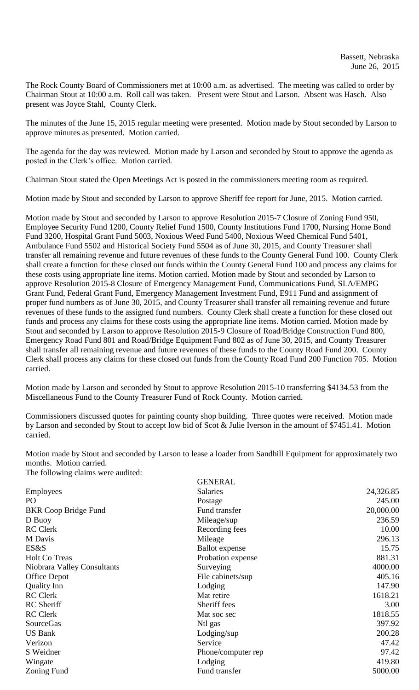The Rock County Board of Commissioners met at 10:00 a.m. as advertised. The meeting was called to order by Chairman Stout at 10:00 a.m. Roll call was taken. Present were Stout and Larson. Absent was Hasch. Also present was Joyce Stahl, County Clerk.

The minutes of the June 15, 2015 regular meeting were presented. Motion made by Stout seconded by Larson to approve minutes as presented. Motion carried.

The agenda for the day was reviewed. Motion made by Larson and seconded by Stout to approve the agenda as posted in the Clerk's office. Motion carried.

Chairman Stout stated the Open Meetings Act is posted in the commissioners meeting room as required.

Motion made by Stout and seconded by Larson to approve Sheriff fee report for June, 2015. Motion carried.

Motion made by Stout and seconded by Larson to approve Resolution 2015-7 Closure of Zoning Fund 950, Employee Security Fund 1200, County Relief Fund 1500, County Institutions Fund 1700, Nursing Home Bond Fund 3200, Hospital Grant Fund 5003, Noxious Weed Fund 5400, Noxious Weed Chemical Fund 5401, Ambulance Fund 5502 and Historical Society Fund 5504 as of June 30, 2015, and County Treasurer shall transfer all remaining revenue and future revenues of these funds to the County General Fund 100. County Clerk shall create a function for these closed out funds within the County General Fund 100 and process any claims for these costs using appropriate line items. Motion carried. Motion made by Stout and seconded by Larson to approve Resolution 2015-8 Closure of Emergency Management Fund, Communications Fund, SLA/EMPG Grant Fund, Federal Grant Fund, Emergency Management Investment Fund, E911 Fund and assignment of proper fund numbers as of June 30, 2015, and County Treasurer shall transfer all remaining revenue and future revenues of these funds to the assigned fund numbers. County Clerk shall create a function for these closed out funds and process any claims for these costs using the appropriate line items. Motion carried. Motion made by Stout and seconded by Larson to approve Resolution 2015-9 Closure of Road/Bridge Construction Fund 800, Emergency Road Fund 801 and Road/Bridge Equipment Fund 802 as of June 30, 2015, and County Treasurer shall transfer all remaining revenue and future revenues of these funds to the County Road Fund 200. County Clerk shall process any claims for these closed out funds from the County Road Fund 200 Function 705. Motion carried.

Motion made by Larson and seconded by Stout to approve Resolution 2015-10 transferring \$4134.53 from the Miscellaneous Fund to the County Treasurer Fund of Rock County. Motion carried.

Commissioners discussed quotes for painting county shop building. Three quotes were received. Motion made by Larson and seconded by Stout to accept low bid of Scot & Julie Iverson in the amount of \$7451.41. Motion carried.

Motion made by Stout and seconded by Larson to lease a loader from Sandhill Equipment for approximately two months. Motion carried. The following claims were audited:

|                             | <b>GENERAL</b>        |           |
|-----------------------------|-----------------------|-----------|
| <b>Employees</b>            | Salaries              | 24,326.85 |
| PO                          | Postage               | 245.00    |
| <b>BKR</b> Coop Bridge Fund | Fund transfer         | 20,000.00 |
| D Buoy                      | Mileage/sup           | 236.59    |
| <b>RC</b> Clerk             | Recording fees        | 10.00     |
| M Davis                     | Mileage               | 296.13    |
| ES&S                        | <b>Ballot</b> expense | 15.75     |
| <b>Holt Co Treas</b>        | Probation expense     | 881.31    |
| Niobrara Valley Consultants | Surveying             | 4000.00   |
| Office Depot                | File cabinets/sup     | 405.16    |
| <b>Quality Inn</b>          | Lodging               | 147.90    |
| <b>RC</b> Clerk             | Mat retire            | 1618.21   |
| <b>RC</b> Sheriff           | Sheriff fees          | 3.00      |
| <b>RC</b> Clerk             | Mat soc sec           | 1818.55   |
| <b>SourceGas</b>            | Ntl gas               | 397.92    |
| <b>US Bank</b>              | $L$ odging/sup        | 200.28    |
| Verizon                     | Service               | 47.42     |
| S Weidner                   | Phone/computer rep    | 97.42     |
| Wingate                     | Lodging               | 419.80    |
| Zoning Fund                 | Fund transfer         | 5000.00   |